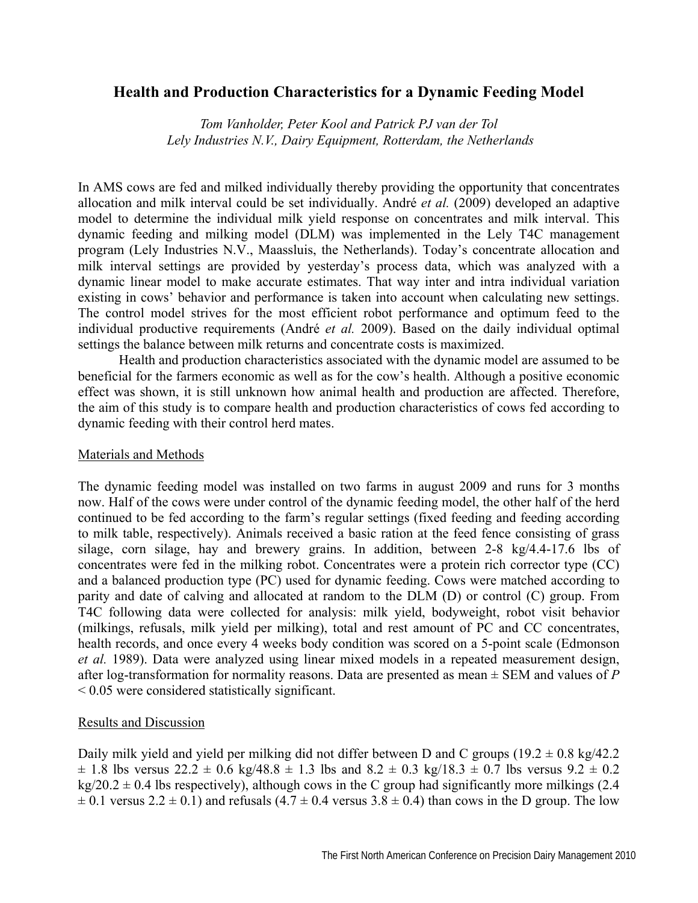## **Health and Production Characteristics for a Dynamic Feeding Model**

*Tom Vanholder, Peter Kool and Patrick PJ van der Tol Lely Industries N.V., Dairy Equipment, Rotterdam, the Netherlands* 

In AMS cows are fed and milked individually thereby providing the opportunity that concentrates allocation and milk interval could be set individually. André *et al.* (2009) developed an adaptive model to determine the individual milk yield response on concentrates and milk interval. This dynamic feeding and milking model (DLM) was implemented in the Lely T4C management program (Lely Industries N.V., Maassluis, the Netherlands). Today's concentrate allocation and milk interval settings are provided by yesterday's process data, which was analyzed with a dynamic linear model to make accurate estimates. That way inter and intra individual variation existing in cows' behavior and performance is taken into account when calculating new settings. The control model strives for the most efficient robot performance and optimum feed to the individual productive requirements (André *et al.* 2009). Based on the daily individual optimal settings the balance between milk returns and concentrate costs is maximized.

 Health and production characteristics associated with the dynamic model are assumed to be beneficial for the farmers economic as well as for the cow's health. Although a positive economic effect was shown, it is still unknown how animal health and production are affected. Therefore, the aim of this study is to compare health and production characteristics of cows fed according to dynamic feeding with their control herd mates.

## Materials and Methods

The dynamic feeding model was installed on two farms in august 2009 and runs for 3 months now. Half of the cows were under control of the dynamic feeding model, the other half of the herd continued to be fed according to the farm's regular settings (fixed feeding and feeding according to milk table, respectively). Animals received a basic ration at the feed fence consisting of grass silage, corn silage, hay and brewery grains. In addition, between 2-8 kg/4.4-17.6 lbs of concentrates were fed in the milking robot. Concentrates were a protein rich corrector type (CC) and a balanced production type (PC) used for dynamic feeding. Cows were matched according to parity and date of calving and allocated at random to the DLM (D) or control (C) group. From T4C following data were collected for analysis: milk yield, bodyweight, robot visit behavior (milkings, refusals, milk yield per milking), total and rest amount of PC and CC concentrates, health records, and once every 4 weeks body condition was scored on a 5-point scale (Edmonson *et al.* 1989). Data were analyzed using linear mixed models in a repeated measurement design, after log-transformation for normality reasons. Data are presented as mean ± SEM and values of *P* < 0.05 were considered statistically significant.

## Results and Discussion

Daily milk yield and yield per milking did not differ between D and C groups ( $19.2 \pm 0.8$  kg/42.2  $\pm$  1.8 lbs versus 22.2  $\pm$  0.6 kg/48.8  $\pm$  1.3 lbs and 8.2  $\pm$  0.3 kg/18.3  $\pm$  0.7 lbs versus 9.2  $\pm$  0.2  $kg/20.2 \pm 0.4$  lbs respectively), although cows in the C group had significantly more milkings (2.4)  $\pm$  0.1 versus 2.2  $\pm$  0.1) and refusals (4.7  $\pm$  0.4 versus 3.8  $\pm$  0.4) than cows in the D group. The low